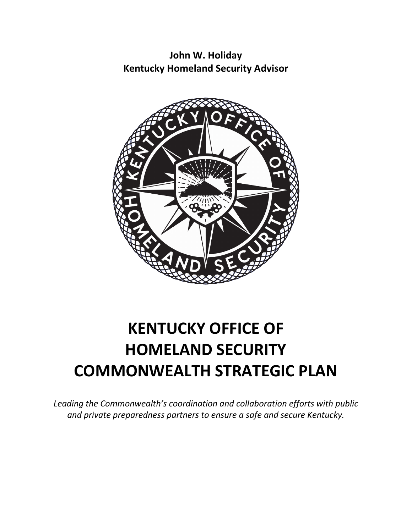**John W. Holiday Kentucky Homeland Security Advisor**



# **KENTUCKY OFFICE OF HOMELAND SECURITY COMMONWEALTH STRATEGIC PLAN**

*Leading the Commonwealth's coordination and collaboration efforts with public and private preparedness partners to ensure a safe and secure Kentucky.*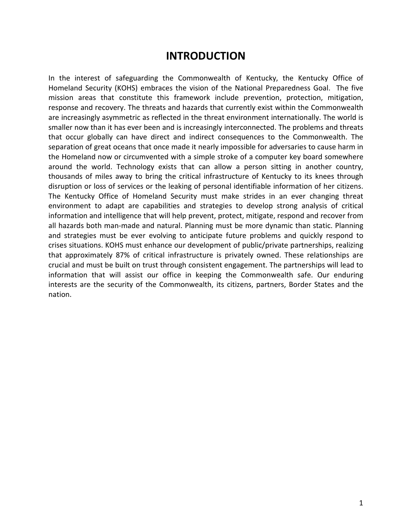### **INTRODUCTION**

In the interest of safeguarding the Commonwealth of Kentucky, the Kentucky Office of Homeland Security (KOHS) embraces the vision of the National Preparedness Goal. The five mission areas that constitute this framework include prevention, protection, mitigation, response and recovery. The threats and hazards that currently exist within the Commonwealth are increasingly asymmetric as reflected in the threat environment internationally. The world is smaller now than it has ever been and is increasingly interconnected. The problems and threats that occur globally can have direct and indirect consequences to the Commonwealth. The separation of great oceans that once made it nearly impossible for adversaries to cause harm in the Homeland now or circumvented with a simple stroke of a computer key board somewhere around the world. Technology exists that can allow a person sitting in another country, thousands of miles away to bring the critical infrastructure of Kentucky to its knees through disruption or loss of services or the leaking of personal identifiable information of her citizens. The Kentucky Office of Homeland Security must make strides in an ever changing threat environment to adapt are capabilities and strategies to develop strong analysis of critical information and intelligence that will help prevent, protect, mitigate, respond and recover from all hazards both man-made and natural. Planning must be more dynamic than static. Planning and strategies must be ever evolving to anticipate future problems and quickly respond to crises situations. KOHS must enhance our development of public/private partnerships, realizing that approximately 87% of critical infrastructure is privately owned. These relationships are crucial and must be built on trust through consistent engagement. The partnerships will lead to information that will assist our office in keeping the Commonwealth safe. Our enduring interests are the security of the Commonwealth, its citizens, partners, Border States and the nation.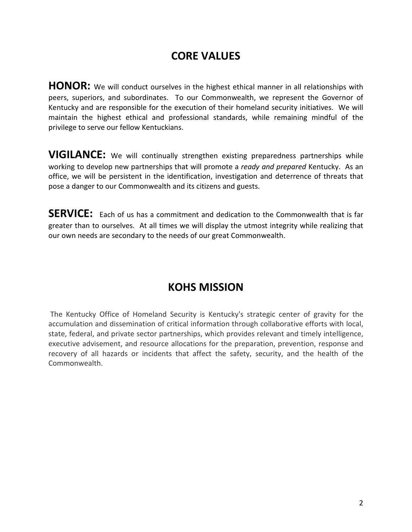# **CORE VALUES**

HONOR: We will conduct ourselves in the highest ethical manner in all relationships with peers, superiors, and subordinates. To our Commonwealth, we represent the Governor of Kentucky and are responsible for the execution of their homeland security initiatives. We will maintain the highest ethical and professional standards, while remaining mindful of the privilege to serve our fellow Kentuckians.

**VIGILANCE:** We will continually strengthen existing preparedness partnerships while working to develop new partnerships that will promote a *ready and prepared* Kentucky. As an office, we will be persistent in the identification, investigation and deterrence of threats that pose a danger to our Commonwealth and its citizens and guests.

**SERVICE:** Each of us has a commitment and dedication to the Commonwealth that is far greater than to ourselves. At all times we will display the utmost integrity while realizing that our own needs are secondary to the needs of our great Commonwealth.

# **KOHS MISSION**

The Kentucky Office of Homeland Security is Kentucky's strategic center of gravity for the accumulation and dissemination of critical information through collaborative efforts with local, state, federal, and private sector partnerships, which provides relevant and timely intelligence, executive advisement, and resource allocations for the preparation, prevention, response and recovery of all hazards or incidents that affect the safety, security, and the health of the Commonwealth.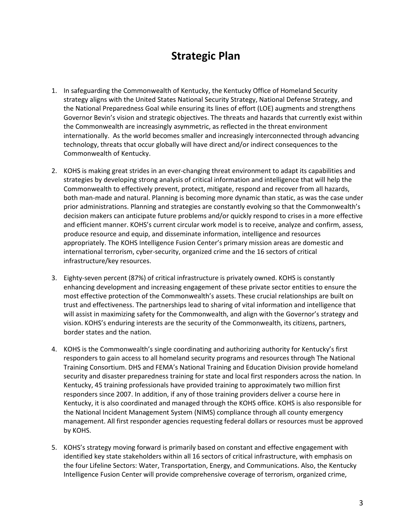## **Strategic Plan**

- 1. In safeguarding the Commonwealth of Kentucky, the Kentucky Office of Homeland Security strategy aligns with the United States National Security Strategy, National Defense Strategy, and the National Preparedness Goal while ensuring its lines of effort (LOE) augments and strengthens Governor Bevin's vision and strategic objectives. The threats and hazards that currently exist within the Commonwealth are increasingly asymmetric, as reflected in the threat environment internationally. As the world becomes smaller and increasingly interconnected through advancing technology, threats that occur globally will have direct and/or indirect consequences to the Commonwealth of Kentucky.
- 2. KOHS is making great strides in an ever-changing threat environment to adapt its capabilities and strategies by developing strong analysis of critical information and intelligence that will help the Commonwealth to effectively prevent, protect, mitigate, respond and recover from all hazards, both man-made and natural. Planning is becoming more dynamic than static, as was the case under prior administrations. Planning and strategies are constantly evolving so that the Commonwealth's decision makers can anticipate future problems and/or quickly respond to crises in a more effective and efficient manner. KOHS's current circular work model is to receive, analyze and confirm, assess, produce resource and equip, and disseminate information, intelligence and resources appropriately. The KOHS Intelligence Fusion Center's primary mission areas are domestic and international terrorism, cyber-security, organized crime and the 16 sectors of critical infrastructure/key resources.
- 3. Eighty-seven percent (87%) of critical infrastructure is privately owned. KOHS is constantly enhancing development and increasing engagement of these private sector entities to ensure the most effective protection of the Commonwealth's assets. These crucial relationships are built on trust and effectiveness. The partnerships lead to sharing of vital information and intelligence that will assist in maximizing safety for the Commonwealth, and align with the Governor's strategy and vision. KOHS's enduring interests are the security of the Commonwealth, its citizens, partners, border states and the nation.
- 4. KOHS is the Commonwealth's single coordinating and authorizing authority for Kentucky's first responders to gain access to all homeland security programs and resources through The National Training Consortium. DHS and FEMA's National Training and Education Division provide homeland security and disaster preparedness training for state and local first responders across the nation. In Kentucky, 45 training professionals have provided training to approximately two million first responders since 2007. In addition, if any of those training providers deliver a course here in Kentucky, it is also coordinated and managed through the KOHS office. KOHS is also responsible for the National Incident Management System (NIMS) compliance through all county emergency management. All first responder agencies requesting federal dollars or resources must be approved by KOHS.
- 5. KOHS's strategy moving forward is primarily based on constant and effective engagement with identified key state stakeholders within all 16 sectors of critical infrastructure, with emphasis on the four Lifeline Sectors: Water, Transportation, Energy, and Communications. Also, the Kentucky Intelligence Fusion Center will provide comprehensive coverage of terrorism, organized crime,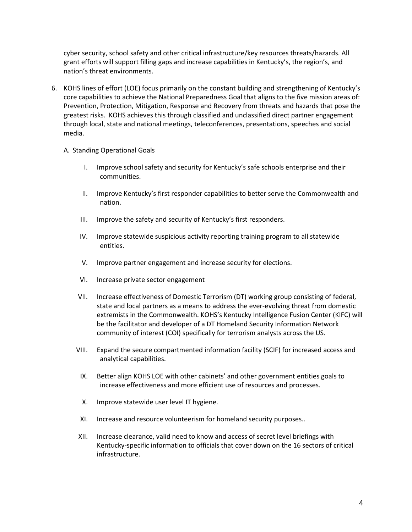cyber security, school safety and other critical infrastructure/key resources threats/hazards. All grant efforts will support filling gaps and increase capabilities in Kentucky's, the region's, and nation's threat environments.

- 6. KOHS lines of effort (LOE) focus primarily on the constant building and strengthening of Kentucky's core capabilities to achieve the National Preparedness Goal that aligns to the five mission areas of: Prevention, Protection, Mitigation, Response and Recovery from threats and hazards that pose the greatest risks. KOHS achieves this through classified and unclassified direct partner engagement through local, state and national meetings, teleconferences, presentations, speeches and social media.
	- A. Standing Operational Goals
		- I. Improve school safety and security for Kentucky's safe schools enterprise and their communities.
		- II. Improve Kentucky's first responder capabilities to better serve the Commonwealth and nation.
		- III. Improve the safety and security of Kentucky's first responders.
		- IV. Improve statewide suspicious activity reporting training program to all statewide entities.
		- V. Improve partner engagement and increase security for elections.
		- VI. Increase private sector engagement
		- VII. Increase effectiveness of Domestic Terrorism (DT) working group consisting of federal, state and local partners as a means to address the ever-evolving threat from domestic extremists in the Commonwealth. KOHS's Kentucky Intelligence Fusion Center (KIFC) will be the facilitator and developer of a DT Homeland Security Information Network community of interest (COI) specifically for terrorism analysts across the US.
		- VIII. Expand the secure compartmented information facility (SCIF) for increased access and analytical capabilities.
			- IX. Better align KOHS LOE with other cabinets' and other government entities goals to increase effectiveness and more efficient use of resources and processes.
			- X. Improve statewide user level IT hygiene.
			- XI. Increase and resource volunteerism for homeland security purposes..
		- XII. Increase clearance, valid need to know and access of secret level briefings with Kentucky-specific information to officials that cover down on the 16 sectors of critical infrastructure.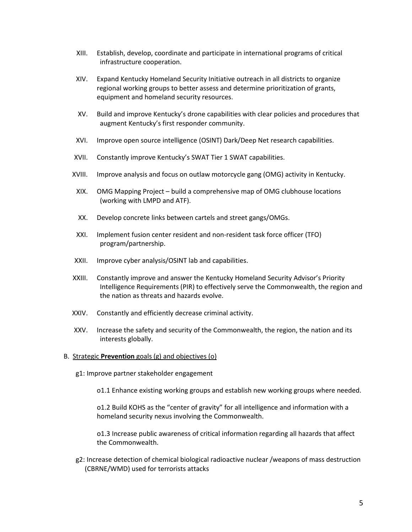- XIII. Establish, develop, coordinate and participate in international programs of critical infrastructure cooperation.
- XIV. Expand Kentucky Homeland Security Initiative outreach in all districts to organize regional working groups to better assess and determine prioritization of grants, equipment and homeland security resources.
- XV. Build and improve Kentucky's drone capabilities with clear policies and procedures that augment Kentucky's first responder community.
- XVI. Improve open source intelligence (OSINT) Dark/Deep Net research capabilities.
- XVII. Constantly improve Kentucky's SWAT Tier 1 SWAT capabilities.
- XVIII. Improve analysis and focus on outlaw motorcycle gang (OMG) activity in Kentucky.
	- XIX. OMG Mapping Project build a comprehensive map of OMG clubhouse locations (working with LMPD and ATF).
	- XX. Develop concrete links between cartels and street gangs/OMGs.
- XXI. Implement fusion center resident and non-resident task force officer (TFO) program/partnership.
- XXII. Improve cyber analysis/OSINT lab and capabilities.
- XXIII. Constantly improve and answer the Kentucky Homeland Security Advisor's Priority Intelligence Requirements (PIR) to effectively serve the Commonwealth, the region and the nation as threats and hazards evolve.
- XXIV. Constantly and efficiently decrease criminal activity.
- XXV. Increase the safety and security of the Commonwealth, the region, the nation and its interests globally.
- B. Strategic **Prevention** goals (g) and objectives (o)
	- g1: Improve partner stakeholder engagement
		- o1.1 Enhance existing working groups and establish new working groups where needed.

o1.2 Build KOHS as the "center of gravity" for all intelligence and information with a homeland security nexus involving the Commonwealth.

o1.3 Increase public awareness of critical information regarding all hazards that affect the Commonwealth.

g2: Increase detection of chemical biological radioactive nuclear /weapons of mass destruction (CBRNE/WMD) used for terrorists attacks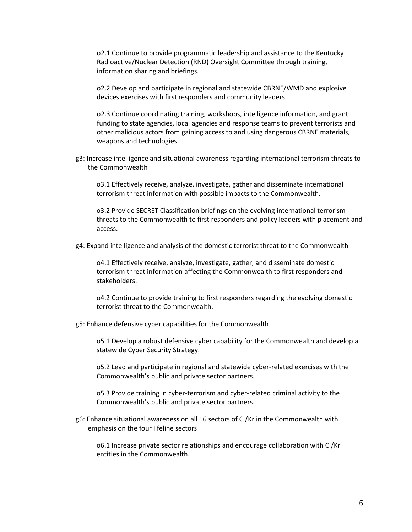o2.1 Continue to provide programmatic leadership and assistance to the Kentucky Radioactive/Nuclear Detection (RND) Oversight Committee through training, information sharing and briefings.

o2.2 Develop and participate in regional and statewide CBRNE/WMD and explosive devices exercises with first responders and community leaders.

o2.3 Continue coordinating training, workshops, intelligence information, and grant funding to state agencies, local agencies and response teams to prevent terrorists and other malicious actors from gaining access to and using dangerous CBRNE materials, weapons and technologies.

g3: Increase intelligence and situational awareness regarding international terrorism threats to the Commonwealth

o3.1 Effectively receive, analyze, investigate, gather and disseminate international terrorism threat information with possible impacts to the Commonwealth.

o3.2 Provide SECRET Classification briefings on the evolving international terrorism threats to the Commonwealth to first responders and policy leaders with placement and access.

g4: Expand intelligence and analysis of the domestic terrorist threat to the Commonwealth

o4.1 Effectively receive, analyze, investigate, gather, and disseminate domestic terrorism threat information affecting the Commonwealth to first responders and stakeholders.

o4.2 Continue to provide training to first responders regarding the evolving domestic terrorist threat to the Commonwealth.

g5: Enhance defensive cyber capabilities for the Commonwealth

o5.1 Develop a robust defensive cyber capability for the Commonwealth and develop a statewide Cyber Security Strategy.

o5.2 Lead and participate in regional and statewide cyber-related exercises with the Commonwealth's public and private sector partners.

o5.3 Provide training in cyber-terrorism and cyber-related criminal activity to the Commonwealth's public and private sector partners.

g6: Enhance situational awareness on all 16 sectors of CI/Kr in the Commonwealth with emphasis on the four lifeline sectors

o6.1 Increase private sector relationships and encourage collaboration with CI/Kr entities in the Commonwealth.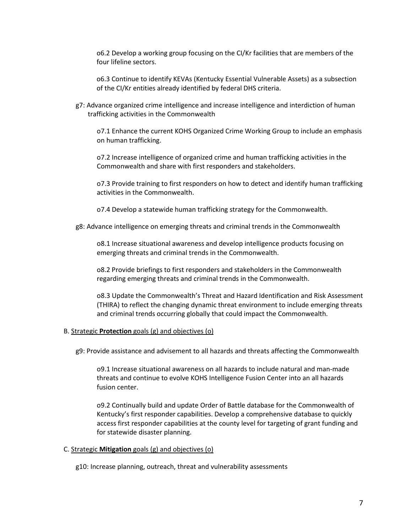o6.2 Develop a working group focusing on the CI/Kr facilities that are members of the four lifeline sectors.

o6.3 Continue to identify KEVAs (Kentucky Essential Vulnerable Assets) as a subsection of the CI/Kr entities already identified by federal DHS criteria.

g7: Advance organized crime intelligence and increase intelligence and interdiction of human trafficking activities in the Commonwealth

o7.1 Enhance the current KOHS Organized Crime Working Group to include an emphasis on human trafficking.

o7.2 Increase intelligence of organized crime and human trafficking activities in the Commonwealth and share with first responders and stakeholders.

o7.3 Provide training to first responders on how to detect and identify human trafficking activities in the Commonwealth.

o7.4 Develop a statewide human trafficking strategy for the Commonwealth.

g8: Advance intelligence on emerging threats and criminal trends in the Commonwealth

o8.1 Increase situational awareness and develop intelligence products focusing on emerging threats and criminal trends in the Commonwealth.

o8.2 Provide briefings to first responders and stakeholders in the Commonwealth regarding emerging threats and criminal trends in the Commonwealth.

o8.3 Update the Commonwealth's Threat and Hazard Identification and Risk Assessment (THIRA) to reflect the changing dynamic threat environment to include emerging threats and criminal trends occurring globally that could impact the Commonwealth.

#### B. Strategic **Protection** goals (g) and objectives (o)

g9: Provide assistance and advisement to all hazards and threats affecting the Commonwealth

o9.1 Increase situational awareness on all hazards to include natural and man-made threats and continue to evolve KOHS Intelligence Fusion Center into an all hazards fusion center.

o9.2 Continually build and update Order of Battle database for the Commonwealth of Kentucky's first responder capabilities. Develop a comprehensive database to quickly access first responder capabilities at the county level for targeting of grant funding and for statewide disaster planning.

#### C. Strategic **Mitigation** goals (g) and objectives (o)

g10: Increase planning, outreach, threat and vulnerability assessments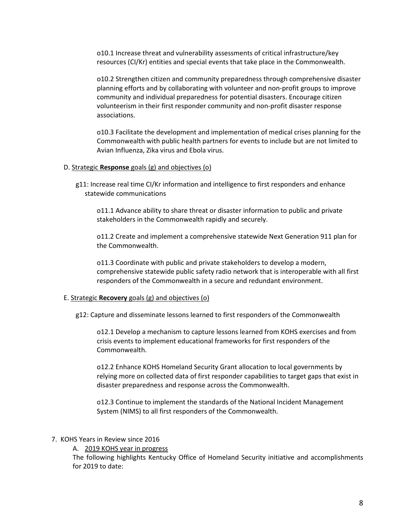o10.1 Increase threat and vulnerability assessments of critical infrastructure/key resources (CI/Kr) entities and special events that take place in the Commonwealth.

o10.2 Strengthen citizen and community preparedness through comprehensive disaster planning efforts and by collaborating with volunteer and non-profit groups to improve community and individual preparedness for potential disasters. Encourage citizen volunteerism in their first responder community and non-profit disaster response associations.

o10.3 Facilitate the development and implementation of medical crises planning for the Commonwealth with public health partners for events to include but are not limited to Avian Influenza, Zika virus and Ebola virus.

#### D. Strategic **Response** goals (g) and objectives (o)

g11: Increase real time CI/Kr information and intelligence to first responders and enhance statewide communications

o11.1 Advance ability to share threat or disaster information to public and private stakeholders in the Commonwealth rapidly and securely.

o11.2 Create and implement a comprehensive statewide Next Generation 911 plan for the Commonwealth.

o11.3 Coordinate with public and private stakeholders to develop a modern, comprehensive statewide public safety radio network that is interoperable with all first responders of the Commonwealth in a secure and redundant environment.

#### E. Strategic **Recovery** goals (g) and objectives (o)

g12: Capture and disseminate lessons learned to first responders of the Commonwealth

o12.1 Develop a mechanism to capture lessons learned from KOHS exercises and from crisis events to implement educational frameworks for first responders of the Commonwealth.

o12.2 Enhance KOHS Homeland Security Grant allocation to local governments by relying more on collected data of first responder capabilities to target gaps that exist in disaster preparedness and response across the Commonwealth.

o12.3 Continue to implement the standards of the National Incident Management System (NIMS) to all first responders of the Commonwealth.

#### 7. KOHS Years in Review since 2016

A. 2019 KOHS year in progress

The following highlights Kentucky Office of Homeland Security initiative and accomplishments for 2019 to date: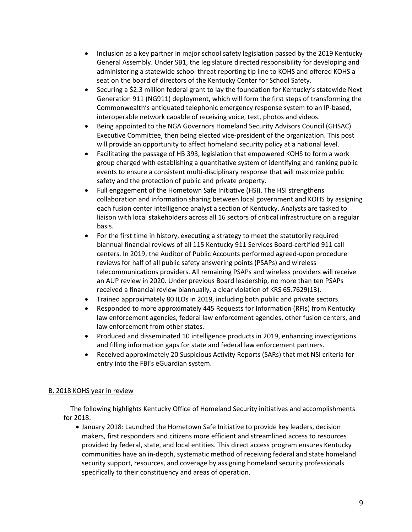- Inclusion as a key partner in major school safety legislation passed by the 2019 Kentucky General Assembly. Under SB1, the legislature directed responsibility for developing and administering a statewide school threat reporting tip line to KOHS and offered KOHS a seat on the board of directors of the Kentucky Center for School Safety.
- Securing a \$2.3 million federal grant to lay the foundation for Kentucky's statewide Next Generation 911 (NG911) deployment, which will form the first steps of transforming the Commonwealth's antiquated telephonic emergency response system to an IP-based, interoperable network capable of receiving voice, text, photos and videos.
- Being appointed to the NGA Governors Homeland Security Advisors Council (GHSAC) Executive Committee, then being elected vice-president of the organization. This post will provide an opportunity to affect homeland security policy at a national level.
- Facilitating the passage of HB 393, legislation that empowered KOHS to form a work group charged with establishing a quantitative system of identifying and ranking public events to ensure a consistent multi-disciplinary response that will maximize public safety and the protection of public and private property.
- Full engagement of the Hometown Safe Initiative (HSI). The HSI strengthens collaboration and information sharing between local government and KOHS by assigning each fusion center intelligence analyst a section of Kentucky. Analysts are tasked to liaison with local stakeholders across all 16 sectors of critical infrastructure on a regular basis.
- For the first time in history, executing a strategy to meet the statutorily required biannual financial reviews of all 115 Kentucky 911 Services Board-certified 911 call centers. In 2019, the Auditor of Public Accounts performed agreed-upon procedure reviews for half of all public safety answering points (PSAPs) and wireless telecommunications providers. All remaining PSAPs and wireless providers will receive an AUP review in 2020. Under previous Board leadership, no more than ten PSAPs received a financial review biannually, a clear violation of KRS 65.7629(13).
- Trained approximately 80 ILOs in 2019, including both public and private sectors.
- Responded to more approximately 445 Requests for Information (RFIs) from Kentucky law enforcement agencies, federal law enforcement agencies, other fusion centers, and law enforcement from other states.
- Produced and disseminated 10 intelligence products in 2019, enhancing investigations and filling information gaps for state and federal law enforcement partners.
- Received approximately 20 Suspicious Activity Reports (SARs) that met NSI criteria for entry into the FBI's eGuardian system.

### B. 2018 KOHS year in review

 The following highlights Kentucky Office of Homeland Security initiatives and accomplishments for 2018:

• January 2018: Launched the Hometown Safe Initiative to provide key leaders, decision makers, first responders and citizens more efficient and streamlined access to resources provided by federal, state, and local entities. This direct access program ensures Kentucky communities have an in-depth, systematic method of receiving federal and state homeland security support, resources, and coverage by assigning homeland security professionals specifically to their constituency and areas of operation.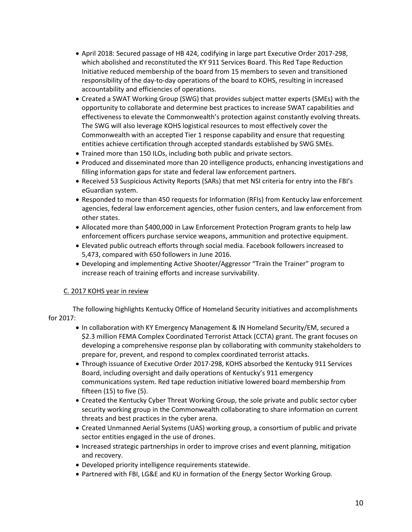- April 2018: Secured passage of HB 424, codifying in large part Executive Order 2017-298, which abolished and reconstituted the KY 911 Services Board. This Red Tape Reduction Initiative reduced membership of the board from 15 members to seven and transitioned responsibility of the day-to-day operations of the board to KOHS, resulting in increased accountability and efficiencies of operations.
- Created a SWAT Working Group (SWG) that provides subject matter experts (SMEs) with the opportunity to collaborate and determine best practices to increase SWAT capabilities and effectiveness to elevate the Commonwealth's protection against constantly evolving threats. The SWG will also leverage KOHS logistical resources to most effectively cover the Commonwealth with an accepted Tier 1 response capability and ensure that requesting entities achieve certification through accepted standards established by SWG SMEs.
- Trained more than 150 ILOs, including both public and private sectors.
- Produced and disseminated more than 20 intelligence products, enhancing investigations and filling information gaps for state and federal law enforcement partners.
- Received 53 Suspicious Activity Reports (SARs) that met NSI criteria for entry into the FBI's eGuardian system.
- Responded to more than 450 requests for Information (RFIs) from Kentucky law enforcement agencies, federal law enforcement agencies, other fusion centers, and law enforcement from other states.
- Allocated more than \$400,000 in Law Enforcement Protection Program grants to help law enforcement officers purchase service weapons, ammunition and protective equipment.
- Elevated public outreach efforts through social media. Facebook followers increased to 5,473, compared with 650 followers in June 2016.
- Developing and implementing Active Shooter/Aggressor "Train the Trainer" program to increase reach of training efforts and increase survivability.

### C. 2017 KOHS year in review

The following highlights Kentucky Office of Homeland Security initiatives and accomplishments for 2017:

- In collaboration with KY Emergency Management & IN Homeland Security/EM, secured a \$2.3 million FEMA Complex Coordinated Terrorist Attack (CCTA) grant. The grant focuses on developing a comprehensive response plan by collaborating with community stakeholders to prepare for, prevent, and respond to complex coordinated terrorist attacks.
- Through issuance of Executive Order 2017-298, KOHS absorbed the Kentucky 911 Services Board, including oversight and daily operations of Kentucky's 911 emergency communications system. Red tape reduction initiative lowered board membership from fifteen (15) to five (5).
- Created the Kentucky Cyber Threat Working Group, the sole private and public sector cyber security working group in the Commonwealth collaborating to share information on current threats and best practices in the cyber arena.
- Created Unmanned Aerial Systems (UAS) working group, a consortium of public and private sector entities engaged in the use of drones.
- Increased strategic partnerships in order to improve crises and event planning, mitigation and recovery.
- Developed priority intelligence requirements statewide.
- Partnered with FBI, LG&E and KU in formation of the Energy Sector Working Group.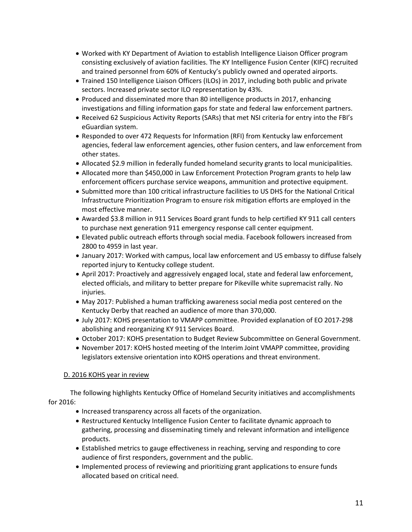- Worked with KY Department of Aviation to establish Intelligence Liaison Officer program consisting exclusively of aviation facilities. The KY Intelligence Fusion Center (KIFC) recruited and trained personnel from 60% of Kentucky's publicly owned and operated airports.
- Trained 150 Intelligence Liaison Officers (ILOs) in 2017, including both public and private sectors. Increased private sector ILO representation by 43%.
- Produced and disseminated more than 80 intelligence products in 2017, enhancing investigations and filling information gaps for state and federal law enforcement partners.
- Received 62 Suspicious Activity Reports (SARs) that met NSI criteria for entry into the FBI's eGuardian system.
- Responded to over 472 Requests for Information (RFI) from Kentucky law enforcement agencies, federal law enforcement agencies, other fusion centers, and law enforcement from other states.
- Allocated \$2.9 million in federally funded homeland security grants to local municipalities.
- Allocated more than \$450,000 in Law Enforcement Protection Program grants to help law enforcement officers purchase service weapons, ammunition and protective equipment.
- Submitted more than 100 critical infrastructure facilities to US DHS for the National Critical Infrastructure Prioritization Program to ensure risk mitigation efforts are employed in the most effective manner.
- Awarded \$3.8 million in 911 Services Board grant funds to help certified KY 911 call centers to purchase next generation 911 emergency response call center equipment.
- Elevated public outreach efforts through social media. Facebook followers increased from 2800 to 4959 in last year.
- January 2017: Worked with campus, local law enforcement and US embassy to diffuse falsely reported injury to Kentucky college student.
- April 2017: Proactively and aggressively engaged local, state and federal law enforcement, elected officials, and military to better prepare for Pikeville white supremacist rally. No injuries.
- May 2017: Published a human trafficking awareness social media post centered on the Kentucky Derby that reached an audience of more than 370,000.
- July 2017: KOHS presentation to VMAPP committee. Provided explanation of EO 2017-298 abolishing and reorganizing KY 911 Services Board.
- October 2017: KOHS presentation to Budget Review Subcommittee on General Government.
- November 2017: KOHS hosted meeting of the Interim Joint VMAPP committee, providing legislators extensive orientation into KOHS operations and threat environment.

### D. 2016 KOHS year in review

 The following highlights Kentucky Office of Homeland Security initiatives and accomplishments for 2016:

- Increased transparency across all facets of the organization.
- Restructured Kentucky Intelligence Fusion Center to facilitate dynamic approach to gathering, processing and disseminating timely and relevant information and intelligence products.
- Established metrics to gauge effectiveness in reaching, serving and responding to core audience of first responders, government and the public.
- Implemented process of reviewing and prioritizing grant applications to ensure funds allocated based on critical need.